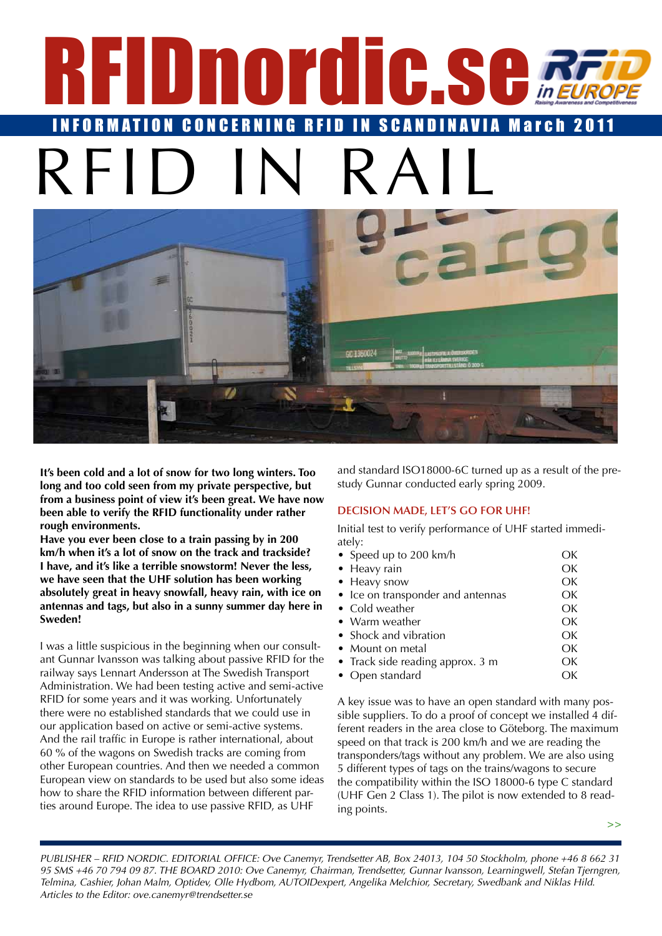# <span id="page-0-0"></span>REIS REID IN SCANDINAVIA March INFORMATION CONCERNING RFID IN  $R$ FII



**It's been cold and a lot of snow for two long winters. Too long and too cold seen from my private perspective, but from a business point of view it's been great. We have now been able to verify the RFID functionality under rather rough environments.** 

**Have you ever been close to a train passing by in 200 km/h when it's a lot of snow on the track and trackside? I have, and it's like a terrible snowstorm! Never the less, we have seen that the UHF solution has been working absolutely great in heavy snowfall, heavy rain, with ice on antennas and tags, but also in a sunny summer day here in Sweden!**

I was a little suspicious in the beginning when our consultant Gunnar Ivansson was talking about passive RFID for the railway says Lennart Andersson at The Swedish Transport Administration. We had been testing active and semi-active RFID for some years and it was working. Unfortunately there were no established standards that we could use in our application based on active or semi-active systems. And the rail traffic in Europe is rather international, about 60 % of the wagons on Swedish tracks are coming from other European countries. And then we needed a common European view on standards to be used but also some ideas how to share the RFID information between different parties around Europe. The idea to use passive RFID, as UHF

and standard ISO18000-6C turned up as a result of the prestudy Gunnar conducted early spring 2009.

# **Decision made, let's go for UHF!**

Initial test to verify performance of UHF started immediately:

- Speed up to 200 km/h OK • Heavy rain OK • Heavy snow OK • Ice on transponder and antennas OK Cold weather **Cold weather** OK • Warm weather **OK** • Shock and vibration **OK Mount on metal** OK • Track side reading approx. 3 m OK
- Open standard OK

A key issue was to have an open standard with many possible suppliers. To do a proof of concept we installed 4 different readers in the area close to Göteborg. The maximum speed on that track is 200 km/h and we are reading the transponders/tags without any problem. We are also using 5 different types of tags on the trains/wagons to secure the compatibility within the ISO 18000-6 type C standard (UHF Gen 2 Class 1). The pilot is now extended to 8 reading points.

**>>**

*PUBLISHER – RFID NORDIC. EDITORIAL OFFICE: Ove Canemyr, Trendsetter AB, Box 24013, 104 50 Stockholm, phone +46 8 662 31 95 SMS +46 70 794 09 87. THE BOARD 2010: Ove Canemyr, Chairman, Trendsetter, Gunnar Ivansson, Learningwell, Stefan Tjerngren, Telmina, Cashier, Johan Malm, Optidev, Olle Hydbom, AUTOIDexpert, Angelika Melchior, Secretary, Swedbank and Niklas Hild. Articles to the Editor: ove.canemyr@trendsetter.se*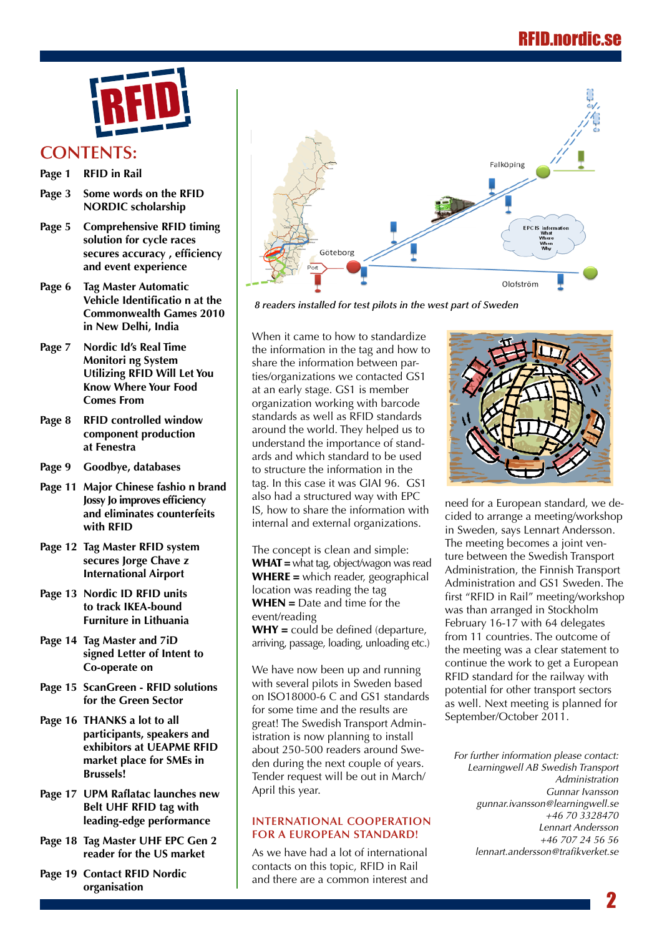

# **Contents:**

- **Page 1 [RFID in Rail](#page-0-0)**
- **[Page 3 Some words on the RFID](#page-2-0) [NORDIC scholarship](#page-2-0)**
- **[Page 5 Comprehensive RFID timing](#page-4-0) [solution for cycle races](#page-4-0)  [secures](#page-4-0) accuracy , efficiency [and event experience](#page-4-0)**
- **[Page 6 Tag Master Automatic](#page-5-0)  [Vehicle](#page-5-0) Identificatio n at the [Commonwealth Games 2010](#page-5-0) [in New Delhi, India](#page-5-0)**
- **[Page 7 Nordic Id's Real Time](#page-6-0) [Monitori ng System](#page-6-0) [Utilizing RFID Will Let You](#page-6-0) [Know Where Your Food](#page-6-0) [Comes From](#page-6-0)**
- **[Page 8 RFID controlled window](#page-7-0) [component production](#page-7-0) [at Fenestra](#page-7-0)**
- **[Page 9 Goodbye, databases](#page-8-0)**
- **[Page 11 Major Chinese fashio n brand](#page-10-0)  [Jossy](#page-10-0) Jo improves efficiency [and eliminates counterfeits](#page-10-0) [with RFID](#page-10-0)**
- **[Page 12 Tag Master RFID system](#page-11-0) [secures Jorge Chave z](#page-11-0) [International Airport](#page-11-0)**
- **[Page 13 Nordic ID RFID units](#page-12-0) [to track IKEA-bound](#page-12-0) [Furniture in Lithuania](#page-12-0)**
- **[Page 14 Tag Master and 7iD](#page-13-0) [signed Letter of Intent to](#page-13-0) [Co-operate on](#page-13-0)**
- **[Page 15 ScanGreen RFID solutions](#page-14-0)  [for the Green Sector](#page-14-0)**
- **[Page 16 THANKS a lot to all](#page-15-0)  [participants, speakers and](#page-15-0)  [exhibitors at UEAPME RFID](#page-15-0)  [market place for SMEs in](#page-15-0)  [Brussels!](#page-15-0)**
- **Page 17 UPM Raflatac [launches](#page-16-0) new [Belt UHF RFID tag with](#page-16-0) [leading-edge performance](#page-16-0)**
- **[Page 18 Tag Master UHF EPC Gen 2](#page-17-0)  [reader for the US market](#page-17-0)**
- **Page 19 [Contact RFID Nordic](#page-18-0)  [organisation](#page-18-0)**



*8 readers installed for test pilots in the west part of Sweden*

When it came to how to standardize the information in the tag and how to share the information between parties/organizations we contacted GS1 at an early stage. GS1 is member organization working with barcode standards as well as RFID standards around the world. They helped us to understand the importance of standards and which standard to be used to structure the information in the tag. In this case it was GIAI 96. GS1 also had a structured way with EPC IS, how to share the information with internal and external organizations.

The concept is clean and simple: WHAT = what tag, object/wagon was read WHERE = which reader, geographical location was reading the tag  $WHEN = Date$  and time for the event/reading  $WHY = \text{could}$  be defined (departure,

arriving, passage, loading, unloading etc.)

We have now been up and running with several pilots in Sweden based on ISO18000-6 C and GS1 standards for some time and the results are great! The Swedish Transport Administration is now planning to install about 250-500 readers around Sweden during the next couple of years. Tender request will be out in March/ April this year.

## **International cooperation for a European standard!**

As we have had a lot of international contacts on this topic, RFID in Rail and there are a common interest and



need for a European standard, we decided to arrange a meeting/workshop in Sweden, says Lennart Andersson. The meeting becomes a joint venture between the Swedish Transport Administration, the Finnish Transport Administration and GS1 Sweden. The first "RFID in Rail" meeting/workshop was than arranged in Stockholm February 16-17 with 64 delegates from 11 countries. The outcome of the meeting was a clear statement to continue the work to get a European RFID standard for the railway with potential for other transport sectors as well. Next meeting is planned for September/October 2011.

*For further information please contact: Learningwell AB Swedish Transport Administration Gunnar Ivansson [gunnar.ivansson@learningwell.se](mailto:gunnar.ivansson@learningwell.se) +46 70 3328470 Lennart Andersson +46 707 24 56 56 l[ennart.andersson@trafikverket.se](mailto:lennart.andersson@trafikverket.se)* 

2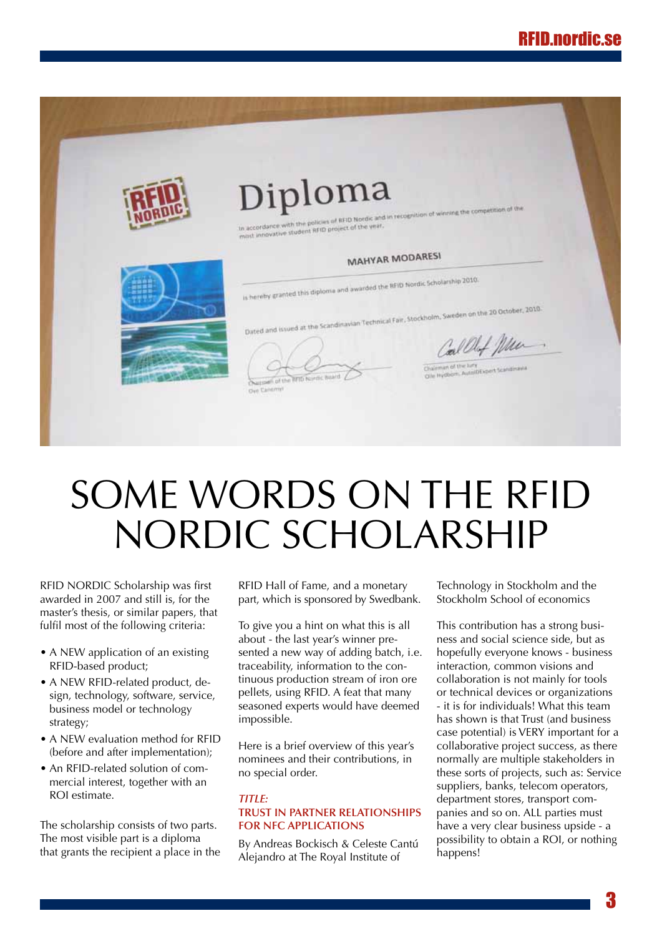<span id="page-2-0"></span>

# Some words on the RFID NORDIC scholarship

RFID NORDIC Scholarship was first awarded in 2007 and still is, for the master's thesis, or similar papers, that fulfil most of the following criteria:

- A NEW application of an existing RFID-based product;
- A NEW RFID-related product, design, technology, software, service, business model or technology strategy;
- A NEW evaluation method for RFID (before and after implementation);
- An RFID-related solution of commercial interest, together with an ROI estimate.

The scholarship consists of two parts. The most visible part is a diploma that grants the recipient a place in the RFID Hall of Fame, and a monetary part, which is sponsored by Swedbank.

To give you a hint on what this is all about - the last year's winner presented a new way of adding batch, i.e. traceability, information to the continuous production stream of iron ore pellets, using RFID. A feat that many seasoned experts would have deemed impossible.

Here is a brief overview of this year's nominees and their contributions, in no special order.

# *Title:*  **Trust in partner relationships for NFC applications**

By Andreas Bockisch & Celeste Cantú Alejandro at The Royal Institute of

Technology in Stockholm and the Stockholm School of economics

This contribution has a strong business and social science side, but as hopefully everyone knows - business interaction, common visions and collaboration is not mainly for tools or technical devices or organizations - it is for individuals! What this team has shown is that Trust (and business case potential) is VERY important for a collaborative project success, as there normally are multiple stakeholders in these sorts of projects, such as: Service suppliers, banks, telecom operators, department stores, transport companies and so on. ALL parties must have a very clear business upside - a possibility to obtain a ROI, or nothing happens!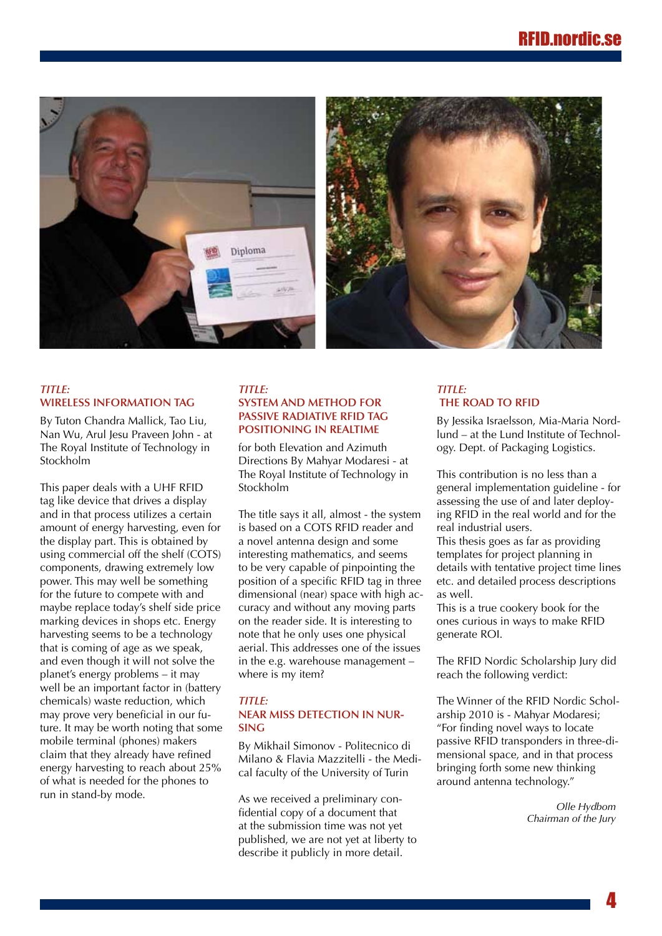

# *Title:*  **Wireless Information Tag**

By Tuton Chandra Mallick, Tao Liu, Nan Wu, Arul Jesu Praveen John - at The Royal Institute of Technology in Stockholm

This paper deals with a UHF RFID tag like device that drives a display and in that process utilizes a certain amount of energy harvesting, even for the display part. This is obtained by using commercial off the shelf (COTS) components, drawing extremely low power. This may well be something for the future to compete with and maybe replace today's shelf side price marking devices in shops etc. Energy harvesting seems to be a technology that is coming of age as we speak, and even though it will not solve the planet's energy problems – it may well be an important factor in (battery chemicals) waste reduction, which may prove very beneficial in our future. It may be worth noting that some mobile terminal (phones) makers claim that they already have refined energy harvesting to reach about 25% of what is needed for the phones to run in stand-by mode.

# *Title:*  **System and Method for Passive Radiative RFID Tag Positioning in Realtime**

for both Elevation and Azimuth Directions By Mahyar Modaresi - at The Royal Institute of Technology in Stockholm

The title says it all, almost - the system is based on a COTS RFID reader and a novel antenna design and some interesting mathematics, and seems to be very capable of pinpointing the position of a specific RFID tag in three dimensional (near) space with high accuracy and without any moving parts on the reader side. It is interesting to note that he only uses one physical aerial. This addresses one of the issues in the e.g. warehouse management – where is my item?

## *Title:*  **Near Miss Detection in Nursing**

By Mikhail Simonov - Politecnico di Milano & Flavia Mazzitelli - the Medical faculty of the University of Turin

As we received a preliminary confidential copy of a document that at the submission time was not yet published, we are not yet at liberty to describe it publicly in more detail.

## *Title:*  **The road to RFID**

By Jessika Israelsson, Mia-Maria Nordlund – at the Lund Institute of Technology. Dept. of Packaging Logistics.

This contribution is no less than a general implementation guideline - for assessing the use of and later deploying RFID in the real world and for the real industrial users.

This thesis goes as far as providing templates for project planning in details with tentative project time lines etc. and detailed process descriptions as well.

This is a true cookery book for the ones curious in ways to make RFID generate ROI.

The RFID Nordic Scholarship Jury did reach the following verdict:

The Winner of the RFID Nordic Scholarship 2010 is - Mahyar Modaresi; "For finding novel ways to locate passive RFID transponders in three-dimensional space, and in that process bringing forth some new thinking around antenna technology."

> *Olle Hydbom Chairman of the Jury*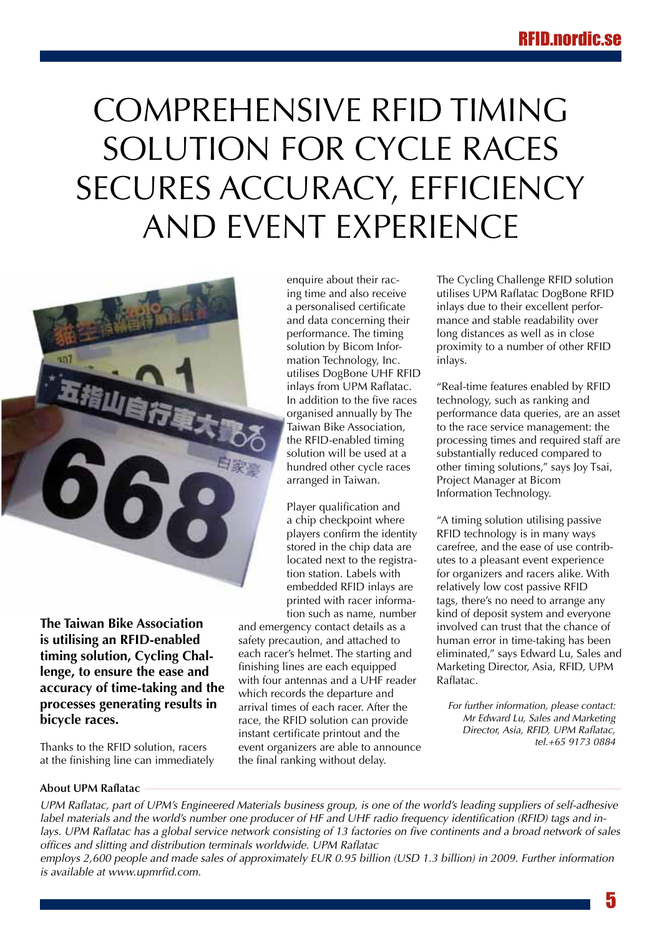# <span id="page-4-0"></span>Comprehensive RFID timing solution for cycle races secures accuracy, efficiency and event experience



**The Taiwan Bike Association is utilising an RFID-enabled timing solution, Cycling Challenge, to ensure the ease and accuracy of time-taking and the processes generating results in bicycle races.** 

Thanks to the RFID solution, racers at the finishing line can immediately enquire about their racing time and also receive a personalised certificate and data concerning their performance. The timing solution by Bicom Information Technology, Inc. utilises DogBone UHF RFID inlays from UPM Raflatac. In addition to the five races organised annually by The Taiwan Bike Association, the RFID-enabled timing solution will be used at a hundred other cycle races arranged in Taiwan.

Player qualification and a chip checkpoint where players confirm the identity stored in the chip data are located next to the registration station. Labels with embedded RFID inlays are printed with racer information such as name, number

and emergency contact details as a safety precaution, and attached to each racer's helmet. The starting and finishing lines are each equipped with four antennas and a UHF reader which records the departure and arrival times of each racer. After the race, the RFID solution can provide instant certificate printout and the event organizers are able to announce the final ranking without delay.

The Cycling Challenge RFID solution utilises UPM Raflatac DogBone RFID inlays due to their excellent performance and stable readability over long distances as well as in close proximity to a number of other RFID inlays.

"Real-time features enabled by RFID technology, such as ranking and performance data queries, are an asset to the race service management: the processing times and required staff are substantially reduced compared to other timing solutions," says Joy Tsai, Project Manager at Bicom Information Technology.

"A timing solution utilising passive RFID technology is in many ways carefree, and the ease of use contributes to a pleasant event experience for organizers and racers alike. With relatively low cost passive RFID tags, there's no need to arrange any kind of deposit system and everyone involved can trust that the chance of human error in time-taking has been eliminated," says Edward Lu, Sales and Marketing Director, Asia, RFID, UPM Raflatac.

*For further information, please contact: Mr Edward Lu, Sales and Marketing Director, Asia, RFID, UPM Raflatac, tel.+65 9173 0884*

# **About UPM Raflatac**

*UPM Raflatac, part of UPM's Engineered Materials business group, is one of the world's leading suppliers of self-adhesive label materials and the world's number one producer of HF and UHF radio frequency identification (RFID) tags and in*lays. UPM Raflatac has a global service network consisting of 13 factories on five continents and a broad network of sales *offices and slitting and distribution terminals worldwide. UPM Raflatac*

*employs 2,600 people and made sales of approximately EUR 0.95 billion (USD 1.3 billion) in 2009. Further information is available at<www.upmrfid.com>.*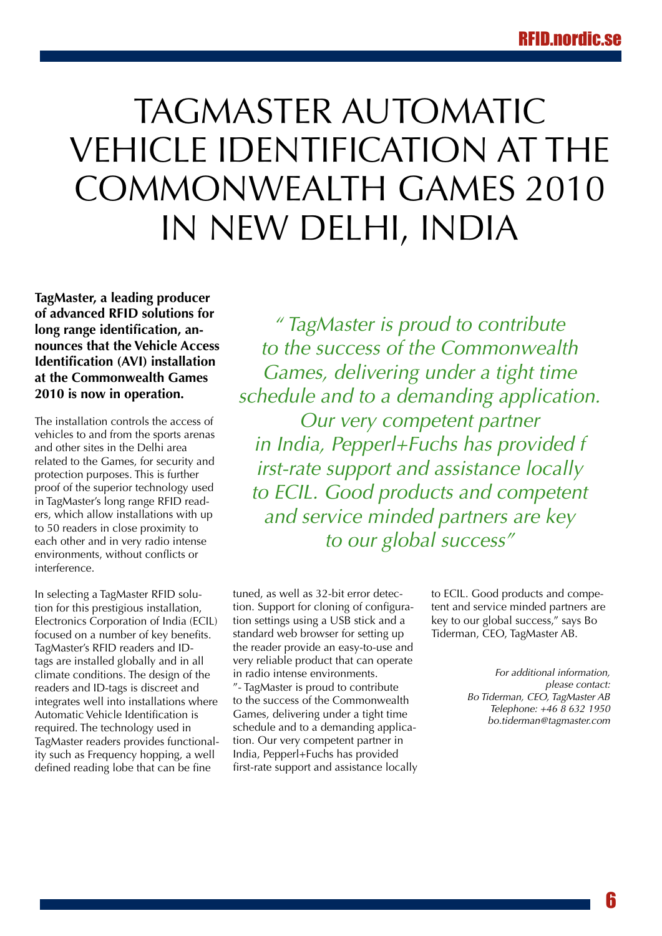# <span id="page-5-0"></span>TAGMASTER AUTOMATIC Vehicle Identification at the Commonwealth Games 2010 in New Delhi, India

**TagMaster, a leading producer of advanced RFID solutions for long range identification, announces that the Vehicle Access Identification (AVI) installation at the Commonwealth Games 2010 is now in operation.** 

The installation controls the access of vehicles to and from the sports arenas and other sites in the Delhi area related to the Games, for security and protection purposes. This is further proof of the superior technology used in TagMaster's long range RFID readers, which allow installations with up to 50 readers in close proximity to each other and in very radio intense environments, without conflicts or interference.

In selecting a TagMaster RFID solution for this prestigious installation, Electronics Corporation of India (ECIL) focused on a number of key benefits. TagMaster's RFID readers and IDtags are installed globally and in all climate conditions. The design of the readers and ID-tags is discreet and integrates well into installations where Automatic Vehicle Identification is required. The technology used in TagMaster readers provides functionality such as Frequency hopping, a well defined reading lobe that can be fine

*" TagMaster is proud to contribute to the success of the Commonwealth Games, delivering under a tight time schedule and to a demanding application. Our very competent partner in India, Pepperl+Fuchs has provided f irst-rate support and assistance locally to ECIL. Good products and competent and service minded partners are key to our global success"*

tuned, as well as 32-bit error detection. Support for cloning of configuration settings using a USB stick and a standard web browser for setting up the reader provide an easy-to-use and very reliable product that can operate in radio intense environments. "- TagMaster is proud to contribute to the success of the Commonwealth Games, delivering under a tight time schedule and to a demanding application. Our very competent partner in India, Pepperl+Fuchs has provided first-rate support and assistance locally to ECIL. Good products and competent and service minded partners are key to our global success," says Bo Tiderman, CEO, TagMaster AB.

> *For additional information, please contact: Bo Tiderman, CEO, TagMaster AB Telephone: +46 8 632 1950 [bo.tiderman@tagmaster.com](mailto:bo.tiderman@tagmaster.com)*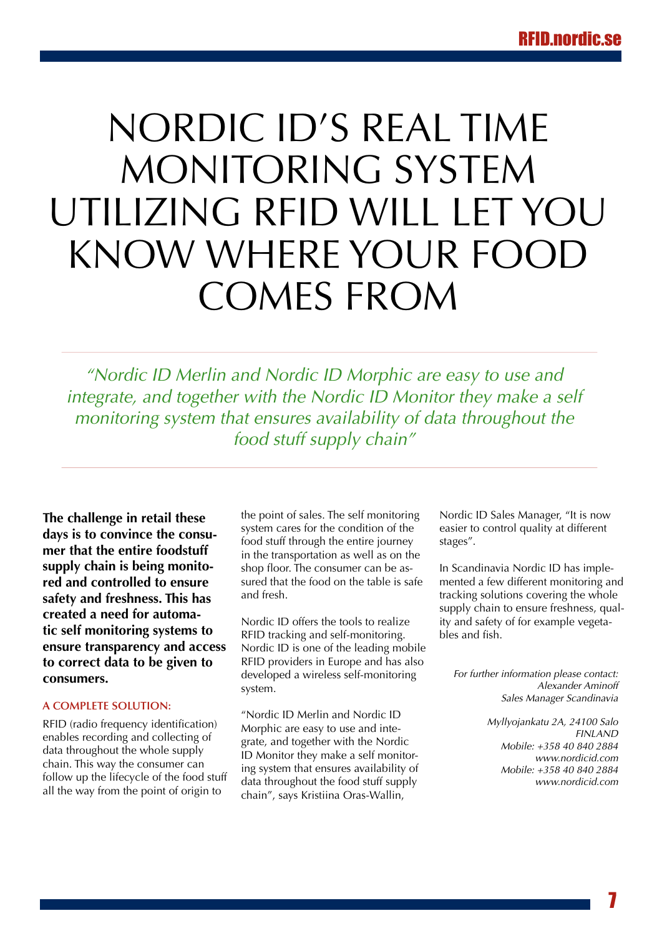# <span id="page-6-0"></span>Nordic Id's Real Time Monitoring System Utilizing RFID Will Let You Know Where Your Food Comes From

*"Nordic ID Merlin and Nordic ID Morphic are easy to use and integrate, and together with the Nordic ID Monitor they make a self monitoring system that ensures availability of data throughout the food stuff supply chain"*

**The challenge in retail these days is to convince the consumer that the entire foodstuff supply chain is being monitored and controlled to ensure safety and freshness. This has created a need for automatic self monitoring systems to ensure transparency and access to correct data to be given to consumers.**

# **A COMPLETE SOLUTION:**

RFID (radio frequency identification) enables recording and collecting of data throughout the whole supply chain. This way the consumer can follow up the lifecycle of the food stuff all the way from the point of origin to

the point of sales. The self monitoring system cares for the condition of the food stuff through the entire journey in the transportation as well as on the shop floor. The consumer can be assured that the food on the table is safe and fresh.

Nordic ID offers the tools to realize RFID tracking and self-monitoring. Nordic ID is one of the leading mobile RFID providers in Europe and has also developed a wireless self-monitoring system.

"Nordic ID Merlin and Nordic ID Morphic are easy to use and integrate, and together with the Nordic ID Monitor they make a self monitoring system that ensures availability of data throughout the food stuff supply chain", says Kristiina Oras-Wallin,

Nordic ID Sales Manager, "It is now easier to control quality at different stages".

In Scandinavia Nordic ID has implemented a few different monitoring and tracking solutions covering the whole supply chain to ensure freshness, quality and safety of for example vegetables and fish.

*For further information please contact: Alexander Aminoff Sales Manager Scandinavia*

> *Myllyojankatu 2A, 24100 Salo FINLAND Mobile: +358 40 840 2884 www.nordicid.com Mobile: +358 40 840 2884 <www.nordicid.com>*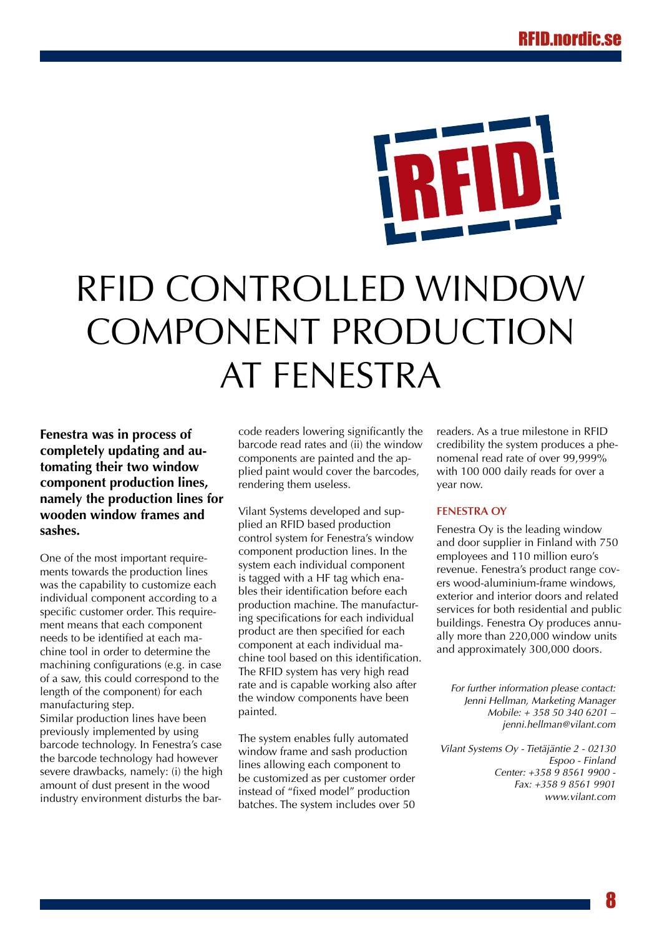# <span id="page-7-0"></span>RFID controlled window component production at Fenestra

**Fenestra was in process of completely updating and automating their two window component production lines, namely the production lines for wooden window frames and sashes.** 

One of the most important requirements towards the production lines was the capability to customize each individual component according to a specific customer order. This requirement means that each component needs to be identified at each machine tool in order to determine the machining configurations (e.g. in case of a saw, this could correspond to the length of the component) for each manufacturing step.

Similar production lines have been previously implemented by using barcode technology. In Fenestra's case the barcode technology had however severe drawbacks, namely: (i) the high amount of dust present in the wood industry environment disturbs the barcode readers lowering significantly the barcode read rates and (ii) the window components are painted and the applied paint would cover the barcodes, rendering them useless.

Vilant Systems developed and supplied an RFID based production control system for Fenestra's window component production lines. In the system each individual component is tagged with a HF tag which enables their identification before each production machine. The manufacturing specifications for each individual product are then specified for each component at each individual machine tool based on this identification. The RFID system has very high read rate and is capable working also after the window components have been painted.

The system enables fully automated window frame and sash production lines allowing each component to be customized as per customer order instead of "fixed model" production batches. The system includes over 50 readers. As a true milestone in RFID credibility the system produces a phenomenal read rate of over 99,999% with 100 000 daily reads for over a year now.

# **Fenestra Oy**

Fenestra Oy is the leading window and door supplier in Finland with 750 employees and 110 million euro's revenue. Fenestra's product range covers wood-aluminium-frame windows, exterior and interior doors and related services for both residential and public buildings. Fenestra Oy produces annually more than 220,000 window units and approximately 300,000 doors.

*For further information please contact: Jenni Hellman, Marketing Manager Mobile: + 358 50 340 6201 – [jenni.hellman@vilant.com](mailto:jenni.hellman@vilant.com)*

*Vilant Systems Oy - Tietäjäntie 2 - 02130 Espoo - Finland Center: +358 9 8561 9900 - Fax: +358 9 8561 9901 <www.vilant.com>*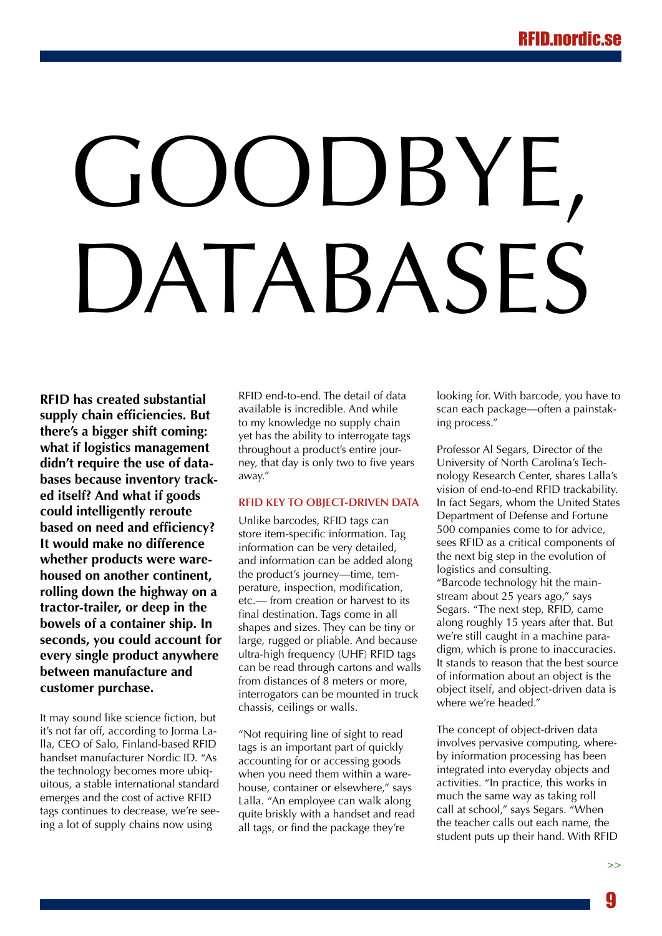# <span id="page-8-0"></span>OODBYE, ATABASES

**RFID has created substantial supply chain efficiencies. But there's a bigger shift coming: what if logistics management didn't require the use of databases because inventory tracked itself? And what if goods could intelligently reroute based on need and efficiency? It would make no difference whether products were warehoused on another continent, rolling down the highway on a tractor-trailer, or deep in the bowels of a container ship. In seconds, you could account for every single product anywhere between manufacture and customer purchase.** 

It may sound like science fiction, but it's not far off, according to Jorma Lalla, CEO of Salo, Finland-based RFID handset manufacturer Nordic ID. "As the technology becomes more ubiquitous, a stable international standard emerges and the cost of active RFID tags continues to decrease, we're seeing a lot of supply chains now using

RFID end-to-end. The detail of data available is incredible. And while to my knowledge no supply chain yet has the ability to interrogate tags throughout a product's entire journey, that day is only two to five years away."

# **RFID key to object-driven data**

Unlike barcodes, RFID tags can store item-specific information. Tag information can be very detailed, and information can be added along the product's journey—time, temperature, inspection, modification, etc.— from creation or harvest to its final destination. Tags come in all shapes and sizes. They can be tiny or large, rugged or pliable. And because ultra-high frequency (UHF) RFID tags can be read through cartons and walls from distances of 8 meters or more, interrogators can be mounted in truck chassis, ceilings or walls.

"Not requiring line of sight to read tags is an important part of quickly accounting for or accessing goods when you need them within a warehouse, container or elsewhere," says Lalla. "An employee can walk along quite briskly with a handset and read all tags, or find the package they're

looking for. With barcode, you have to scan each package—often a painstaking process."

Professor Al Segars, Director of the University of North Carolina's Technology Research Center, shares Lalla's vision of end-to-end RFID trackability. In fact Segars, whom the United States Department of Defense and Fortune 500 companies come to for advice, sees RFID as a critical components of the next big step in the evolution of logistics and consulting. "Barcode technology hit the mainstream about 25 years ago," says Segars. "The next step, RFID, came along roughly 15 years after that. But we're still caught in a machine paradigm, which is prone to inaccuracies. It stands to reason that the best source of information about an object is the object itself, and object-driven data is where we're headed."

The concept of object-driven data involves pervasive computing, whereby information processing has been integrated into everyday objects and activities. "In practice, this works in much the same way as taking roll call at school," says Segars. "When the teacher calls out each name, the student puts up their hand. With RFID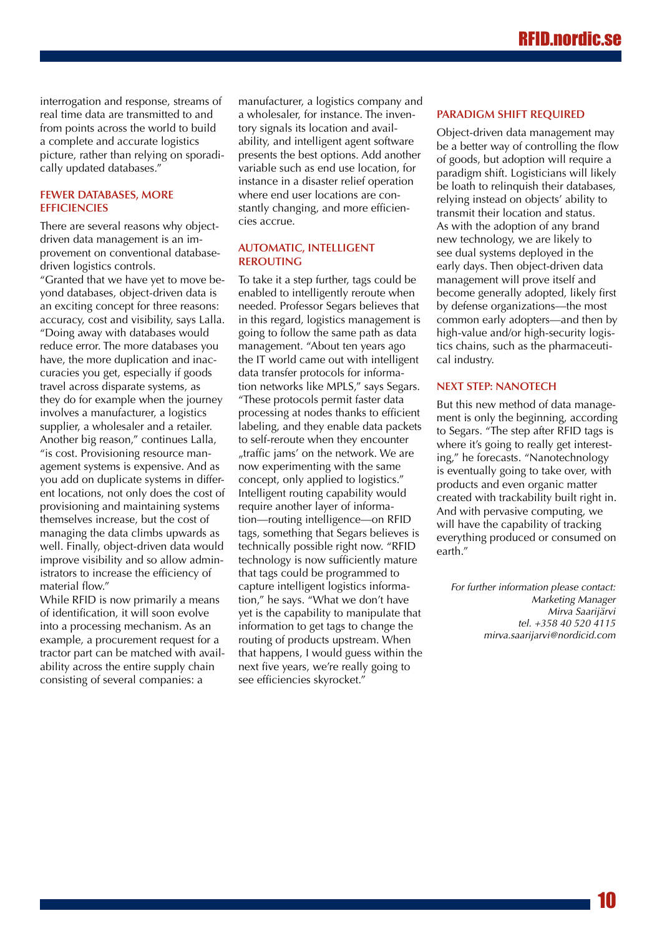interrogation and response, streams of real time data are transmitted to and from points across the world to build a complete and accurate logistics picture, rather than relying on sporadically updated databases."

# **Fewer databases, more efficiencies**

There are several reasons why objectdriven data management is an improvement on conventional databasedriven logistics controls.

"Granted that we have yet to move beyond databases, object-driven data is an exciting concept for three reasons: accuracy, cost and visibility, says Lalla. "Doing away with databases would reduce error. The more databases you have, the more duplication and inaccuracies you get, especially if goods travel across disparate systems, as they do for example when the journey involves a manufacturer, a logistics supplier, a wholesaler and a retailer. Another big reason," continues Lalla, "is cost. Provisioning resource management systems is expensive. And as you add on duplicate systems in different locations, not only does the cost of provisioning and maintaining systems themselves increase, but the cost of managing the data climbs upwards as well. Finally, object-driven data would improve visibility and so allow administrators to increase the efficiency of material flow."

While RFID is now primarily a means of identification, it will soon evolve into a processing mechanism. As an example, a procurement request for a tractor part can be matched with availability across the entire supply chain consisting of several companies: a

manufacturer, a logistics company and a wholesaler, for instance. The inventory signals its location and availability, and intelligent agent software presents the best options. Add another variable such as end use location, for instance in a disaster relief operation where end user locations are constantly changing, and more efficiencies accrue.

# **Automatic, intelligent rerouting**

To take it a step further, tags could be enabled to intelligently reroute when needed. Professor Segars believes that in this regard, logistics management is going to follow the same path as data management. "About ten years ago the IT world came out with intelligent data transfer protocols for information networks like MPLS," says Segars. "These protocols permit faster data processing at nodes thanks to efficient labeling, and they enable data packets to self-reroute when they encounter "traffic jams' on the network. We are now experimenting with the same concept, only applied to logistics." Intelligent routing capability would require another layer of information—routing intelligence—on RFID tags, something that Segars believes is technically possible right now. "RFID technology is now sufficiently mature that tags could be programmed to capture intelligent logistics information," he says. "What we don't have yet is the capability to manipulate that information to get tags to change the routing of products upstream. When that happens, I would guess within the next five years, we're really going to see efficiencies skyrocket."

# **Paradigm shift required**

Object-driven data management may be a better way of controlling the flow of goods, but adoption will require a paradigm shift. Logisticians will likely be loath to relinquish their databases, relying instead on objects' ability to transmit their location and status. As with the adoption of any brand new technology, we are likely to see dual systems deployed in the early days. Then object-driven data management will prove itself and become generally adopted, likely first by defense organizations—the most common early adopters—and then by high-value and/or high-security logistics chains, such as the pharmaceutical industry.

## **Next step: nanotech**

But this new method of data management is only the beginning, according to Segars. "The step after RFID tags is where it's going to really get interesting," he forecasts. "Nanotechnology is eventually going to take over, with products and even organic matter created with trackability built right in. And with pervasive computing, we will have the capability of tracking everything produced or consumed on earth."

*For further information please contact: Marketing Manager Mirva Saarijärvi tel. +358 40 520 4115 [mirva.saarijarvi@nordicid.com](mailto:mirva.saarijarvi@nordicid.com)*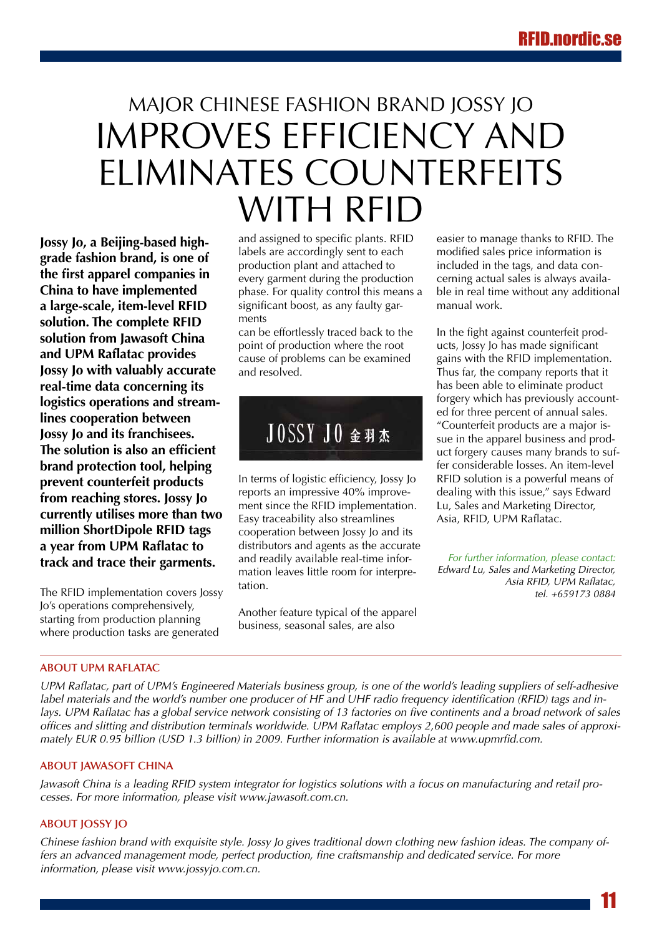# <span id="page-10-0"></span>Major Chinese fashion brand Jossy Jo improves efficiency and eliminates counterfeits with RFID

**Jossy Jo, a Beijing-based highgrade fashion brand, is one of the first apparel companies in China to have implemented a large-scale, item-level RFID solution. The complete RFID solution from Jawasoft China and UPM Raflatac provides Jossy Jo with valuably accurate real-time data concerning its logistics operations and streamlines cooperation between Jossy Jo and its franchisees. The solution is also an efficient brand protection tool, helping prevent counterfeit products from reaching stores. Jossy Jo currently utilises more than two million ShortDipole RFID tags a year from UPM Raflatac to track and trace their garments.**

The RFID implementation covers Jossy Jo's operations comprehensively, starting from production planning where production tasks are generated

and assigned to specific plants. RFID labels are accordingly sent to each production plant and attached to every garment during the production phase. For quality control this means a significant boost, as any faulty garments

can be effortlessly traced back to the point of production where the root cause of problems can be examined and resolved.



In terms of logistic efficiency, Jossy Jo reports an impressive 40% improvement since the RFID implementation. Easy traceability also streamlines cooperation between Jossy Jo and its distributors and agents as the accurate and readily available real-time information leaves little room for interpretation.

Another feature typical of the apparel business, seasonal sales, are also

easier to manage thanks to RFID. The modified sales price information is included in the tags, and data concerning actual sales is always available in real time without any additional manual work.

In the fight against counterfeit products, Jossy Jo has made significant gains with the RFID implementation. Thus far, the company reports that it has been able to eliminate product forgery which has previously accounted for three percent of annual sales. "Counterfeit products are a major issue in the apparel business and product forgery causes many brands to suffer considerable losses. An item-level RFID solution is a powerful means of dealing with this issue," says Edward Lu, Sales and Marketing Director, Asia, RFID, UPM Raflatac.

*For further information, please contact: Edward Lu, Sales and Marketing Director, Asia RFID, UPM Raflatac, tel. +659173 0884*

# **About UPM Raflatac**

*UPM Raflatac, part of UPM's Engineered Materials business group, is one of the world's leading suppliers of self-adhesive label materials and the world's number one producer of HF and UHF radio frequency identification (RFID) tags and inlays. UPM Raflatac has a global service network consisting of 13 factories on five continents and a broad network of sales offices and slitting and distribution terminals worldwide. UPM Raflatac employs 2,600 people and made sales of approximately EUR 0.95 billion (USD 1.3 billion) in 2009. Further information is available at <www.upmrfid.com>.* 

# **About Jawasoft China**

*Jawasoft China is a leading RFID system integrator for logistics solutions with a focus on manufacturing and retail processes. For more information, please visit [www.jawasoft.com.cn.](www.jawasoft.com.cn)*

# **About Jossy Jo**

*Chinese fashion brand with exquisite style. Jossy Jo gives traditional down clothing new fashion ideas. The company offers an advanced management mode, perfect production, fine craftsmanship and dedicated service. For more information, please visit <www.jossyjo.com.cn>.*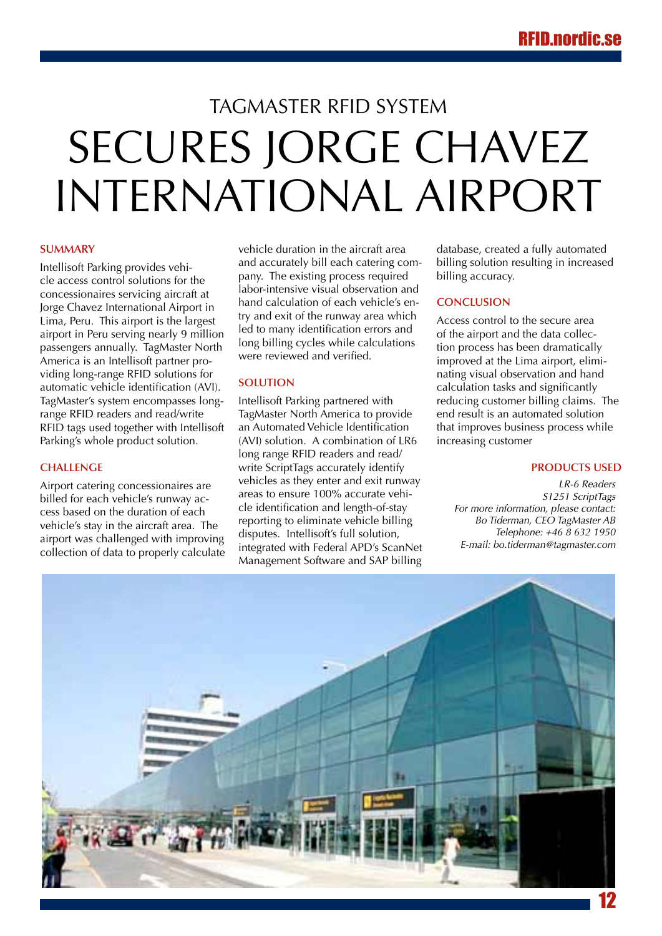# <span id="page-11-0"></span>TAGMASTER REID SYSTEM SECURES JORGE CHAVEZ International Airport

## **Summary**

Intellisoft Parking provides vehicle access control solutions for the concessionaires servicing aircraft at Jorge Chavez International Airport in Lima, Peru. This airport is the largest airport in Peru serving nearly 9 million passengers annually. TagMaster North America is an Intellisoft partner providing long-range RFID solutions for automatic vehicle identification (AVI). TagMaster's system encompasses longrange RFID readers and read/write RFID tags used together with Intellisoft Parking's whole product solution.

## **Challenge**

Airport catering concessionaires are billed for each vehicle's runway access based on the duration of each vehicle's stay in the aircraft area. The airport was challenged with improving collection of data to properly calculate vehicle duration in the aircraft area and accurately bill each catering company. The existing process required labor-intensive visual observation and hand calculation of each vehicle's entry and exit of the runway area which led to many identification errors and long billing cycles while calculations were reviewed and verified.

## **Solution**

Intellisoft Parking partnered with TagMaster North America to provide an Automated Vehicle Identification (AVI) solution. A combination of LR6 long range RFID readers and read/ write ScriptTags accurately identify vehicles as they enter and exit runway areas to ensure 100% accurate vehicle identification and length-of-stay reporting to eliminate vehicle billing disputes. Intellisoft's full solution, integrated with Federal APD's ScanNet Management Software and SAP billing

database, created a fully automated billing solution resulting in increased billing accuracy.

## **Conclusion**

Access control to the secure area of the airport and the data collection process has been dramatically improved at the Lima airport, eliminating visual observation and hand calculation tasks and significantly reducing customer billing claims. The end result is an automated solution that improves business process while increasing customer

## **Products Used**

*LR-6 Readers S1251 ScriptTags For more information, please contact: Bo Tiderman, CEO TagMaster AB Telephone: +46 8 632 1950 E-mail: bo.tiderman@tagmaster.com*

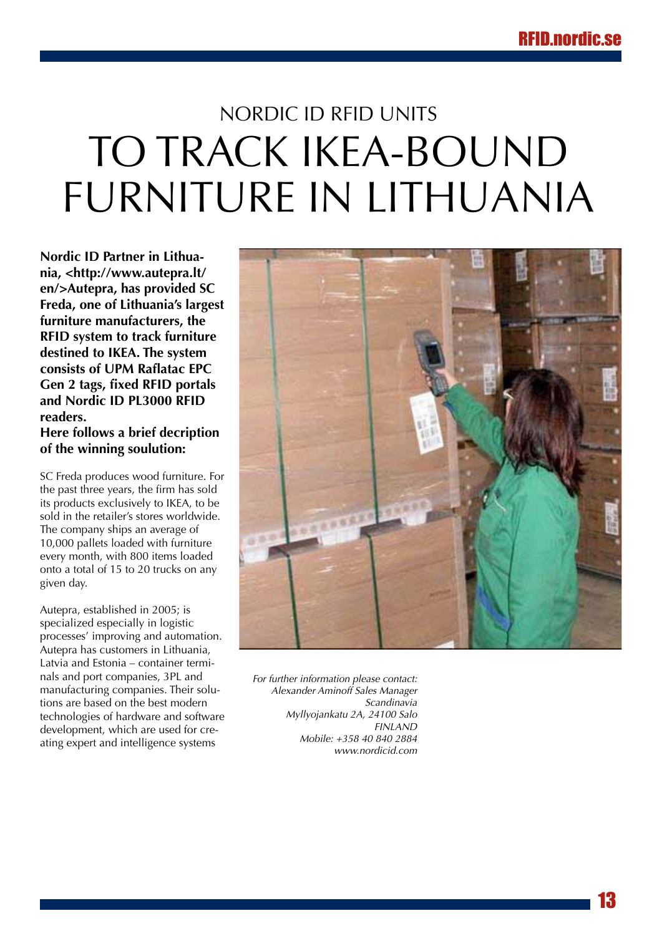# <span id="page-12-0"></span>Nordic ID RFID units to track IKEA-bound Furniture in Lithuania

**Nordic ID Partner in Lithuania, <http://www.autepra.lt/ en/>Autepra, has provided SC Freda, one of Lithuania's largest furniture manufacturers, the RFID system to track furniture destined to IKEA. The system consists of UPM Raflatac EPC Gen 2 tags, fixed RFID portals and Nordic ID PL3000 RFID readers.**

**Here follows a brief decription of the winning soulution:**

SC Freda produces wood furniture. For the past three years, the firm has sold its products exclusively to IKEA, to be sold in the retailer's stores worldwide. The company ships an average of 10,000 pallets loaded with furniture every month, with 800 items loaded onto a total of 15 to 20 trucks on any given day.

Autepra, established in 2005; is specialized especially in logistic processes' improving and automation. Autepra has customers in Lithuania, Latvia and Estonia – container terminals and port companies, 3PL and manufacturing companies. Their solutions are based on the best modern technologies of hardware and software development, which are used for creating expert and intelligence systems



*For further information please contact: Alexander Aminoff Sales Manager Scandinavia Myllyojankatu 2A, 24100 Salo FINLAND Mobile: +358 40 840 2884 <www.nordicid.com>*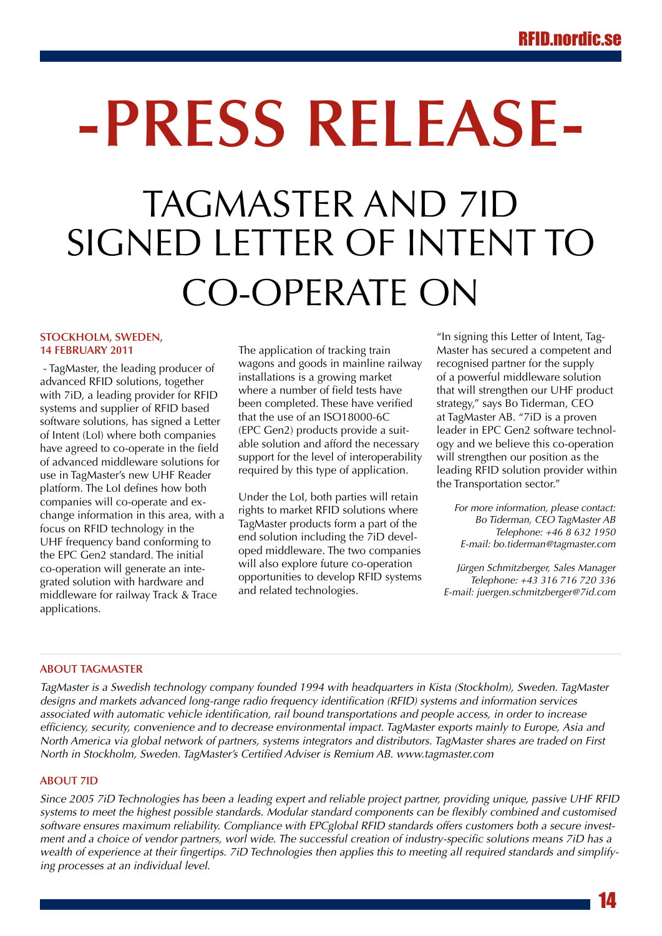# <span id="page-13-0"></span>TAGMASTER AND 7ID SIGNED LETTER OF INTENT TO Co-operate on **-Press Release-**

## **Stockholm, Sweden, 14 February 2011**

 - TagMaster, the leading producer of advanced RFID solutions, together with 7iD, a leading provider for RFID systems and supplier of RFID based software solutions, has signed a Letter of Intent (LoI) where both companies have agreed to co-operate in the field of advanced middleware solutions for use in TagMaster's new UHF Reader platform. The LoI defines how both companies will co-operate and exchange information in this area, with a focus on RFID technology in the UHF frequency band conforming to the EPC Gen2 standard. The initial co-operation will generate an integrated solution with hardware and middleware for railway Track & Trace applications.

The application of tracking train wagons and goods in mainline railway installations is a growing market where a number of field tests have been completed. These have verified that the use of an ISO18000-6C (EPC Gen2) products provide a suitable solution and afford the necessary support for the level of interoperability required by this type of application.

Under the LoI, both parties will retain rights to market RFID solutions where TagMaster products form a part of the end solution including the 7iD developed middleware. The two companies will also explore future co-operation opportunities to develop RFID systems and related technologies.

"In signing this Letter of Intent, Tag-Master has secured a competent and recognised partner for the supply of a powerful middleware solution that will strengthen our UHF product strategy," says Bo Tiderman, CEO at TagMaster AB. "7iD is a proven leader in EPC Gen2 software technology and we believe this co-operation will strengthen our position as the leading RFID solution provider within the Transportation sector."

*For more information, please contact: Bo Tiderman, CEO TagMaster AB Telephone: +46 8 632 1950 E-mail: bo.tiderman@tagmaster.com*

*Jürgen Schmitzberger, Sales Manager Telephone: +43 316 716 720 336 E-mail: [juergen.schmitzberger@7id.com](mailto:juergen.schmitzberger@7id.com)*

# **About TagMaster**

*TagMaster is a Swedish technology company founded 1994 with headquarters in Kista (Stockholm), Sweden. TagMaster designs and markets advanced long-range radio frequency identification (RFID) systems and information services associated with automatic vehicle identification, rail bound transportations and people access, in order to increase efficiency, security, convenience and to decrease environmental impact. TagMaster exports mainly to Europe, Asia and North America via global network of partners, systems integrators and distributors. TagMaster shares are traded on First North in Stockholm, Sweden. TagMaster's Certified Adviser is Remium AB.<www.tagmaster.com>*

# **About 7ID**

*Since 2005 7iD Technologies has been a leading expert and reliable project partner, providing unique, passive UHF RFID systems to meet the highest possible standards. Modular standard components can be flexibly combined and customised software ensures maximum reliability. Compliance with EPCglobal RFID standards offers customers both a secure investment and a choice of vendor partners, worl wide. The successful creation of industry-specific solutions means 7iD has a wealth of experience at their fingertips. 7iD Technologies then applies this to meeting all required standards and simplifying processes at an individual level.*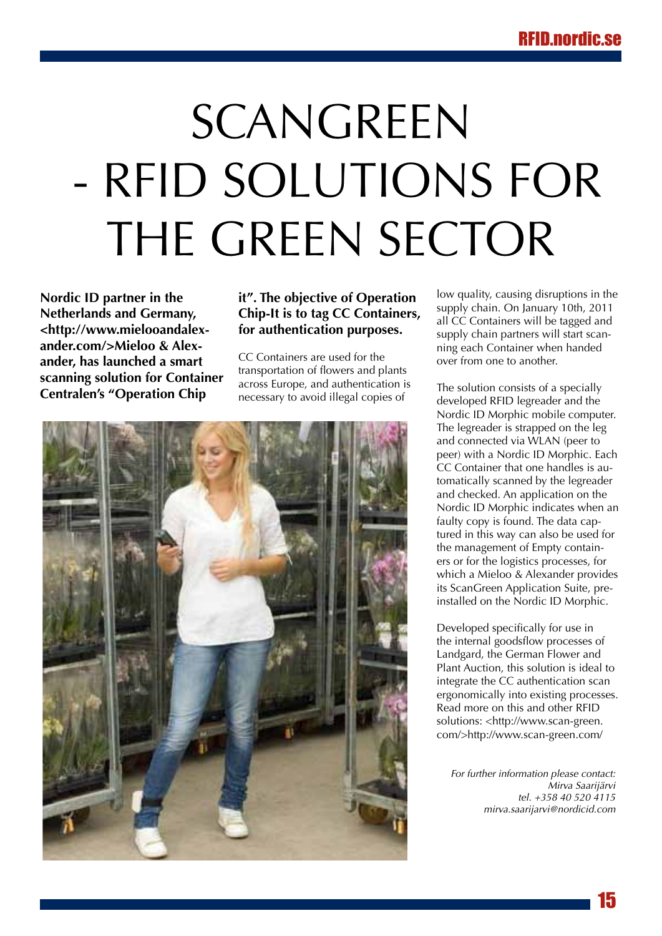# <span id="page-14-0"></span>SCANGREEN - RFID solutions for THE GREEN SECTOR

**Nordic ID partner in the Netherlands and Germany, <http://www.mielooandalexander.com/>Mieloo & Alexander, has launched a smart scanning solution for Container Centralen's "Operation Chip** 

# **it". The objective of Operation Chip-It is to tag CC Containers, for authentication purposes.**

CC Containers are used for the transportation of flowers and plants across Europe, and authentication is necessary to avoid illegal copies of



low quality, causing disruptions in the supply chain. On January 10th, 2011 all CC Containers will be tagged and supply chain partners will start scanning each Container when handed over from one to another.

The solution consists of a specially developed RFID legreader and the Nordic ID Morphic mobile computer. The legreader is strapped on the leg and connected via WLAN (peer to peer) with a Nordic ID Morphic. Each CC Container that one handles is automatically scanned by the legreader and checked. An application on the Nordic ID Morphic indicates when an faulty copy is found. The data captured in this way can also be used for the management of Empty containers or for the logistics processes, for which a Mieloo & Alexander provides its ScanGreen Application Suite, preinstalled on the Nordic ID Morphic.

Developed specifically for use in the internal goodsflow processes of Landgard, the German Flower and Plant Auction, this solution is ideal to integrate the CC authentication scan ergonomically into existing processes. Read more on this and other RFID solutions: <http://www.scan-green. com/>http://www.scan-green.com/

*For further information please contact: Mirva Saarijärvi tel. +358 40 520 4115 mirva.saarijarvi@nordicid.com*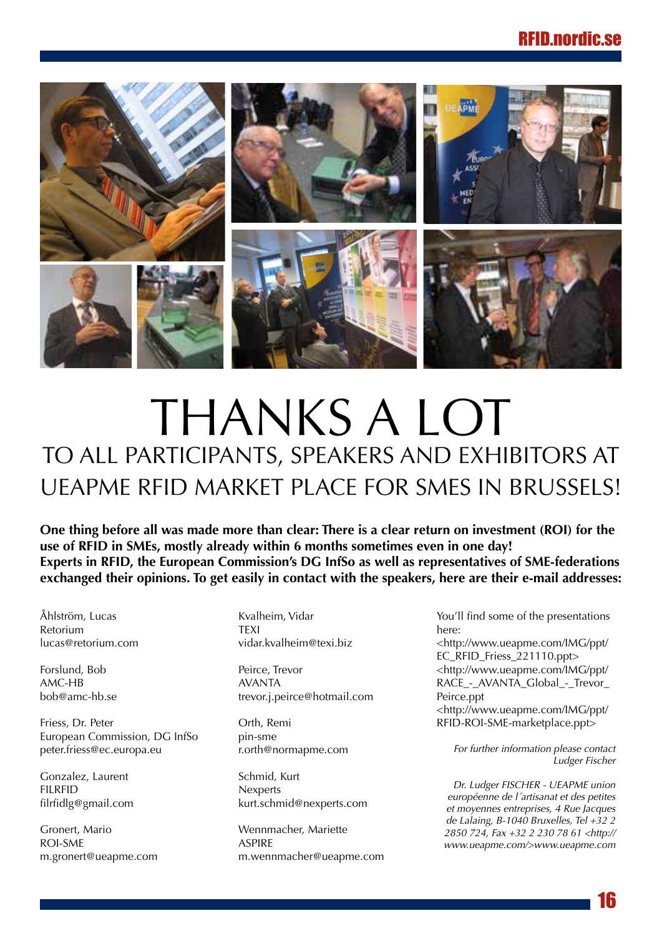<span id="page-15-0"></span>

# THANKS A LOT to all participants, speakers and exhibitors at UEAPME RFID market place for SMEs in Brussels!

One thing before all was made more than clear: There is a clear return on investment (ROI) for the **use of RFID in SMEs, mostly already within 6 months sometimes even in one day! Experts in RFID, the European Commission's DG InfSo as well as representatives of SME-federations exchanged their opinions. To get easily in contact with the speakers, here are their e-mail addresses:**

Åhlström, Lucas Retorium lucas@retorium.com

Forslund, Bob AMC-HB bob@amc-hb.se

Friess, Dr. Peter European Commission, DG InfSo peter.friess@ec.europa.eu

Gonzalez, Laurent FILRFID filrfidlg@gmail.com

Gronert, Mario ROI-SME m.gronert@ueapme.com Kvalheim, Vidar **TFXI** vidar.kvalheim@texi.biz

Peirce, Trevor AVANTA trevor.j.peirce@hotmail.com

Orth, Remi pin-sme r.orth@normapme.com

Schmid, Kurt **Nexperts** kurt.schmid@nexperts.com

Wennmacher, Mariette ASPIRE m.wennmacher@ueapme.com You'll find some of the presentations here:

<[http://www.ueapme.com/IMG/ppt/](http://www.ueapme.com/IMG/ppt/EC_RFID_Friess_221110.ppt) [EC\\_RFID\\_Friess\\_221110.ppt>](http://www.ueapme.com/IMG/ppt/EC_RFID_Friess_221110.ppt) <[http://www.ueapme.com/IMG/ppt/](http://www.ueapme.com/IMG/ppt/RACE_-_AVANTA_Global_-_Trevor_Peirce.ppt) [RACE\\_-\\_AVANTA\\_Global\\_-\\_Trevor\\_](http://www.ueapme.com/IMG/ppt/RACE_-_AVANTA_Global_-_Trevor_Peirce.ppt) [Peirce.ppt](http://www.ueapme.com/IMG/ppt/RACE_-_AVANTA_Global_-_Trevor_Peirce.ppt) <[http://www.ueapme.com/IMG/ppt/](http://www.ueapme.com/IMG/ppt/RFID-ROI-SME-marketplace.ppt)

[RFID-ROI-SME-marketplace.ppt](http://www.ueapme.com/IMG/ppt/RFID-ROI-SME-marketplace.ppt)>

*For further information please contact Ludger Fischer*

*Dr. Ludger FISCHER - UEAPME union européenne de l´artisanat et des petites et moyennes entreprises, 4 Rue Jacques de Lalaing, B-1040 Bruxelles, Tel +32 2 2850 724, Fax +32 2 230 78 61 <http:// www.ueapme.com/>www.ueapme.com*

16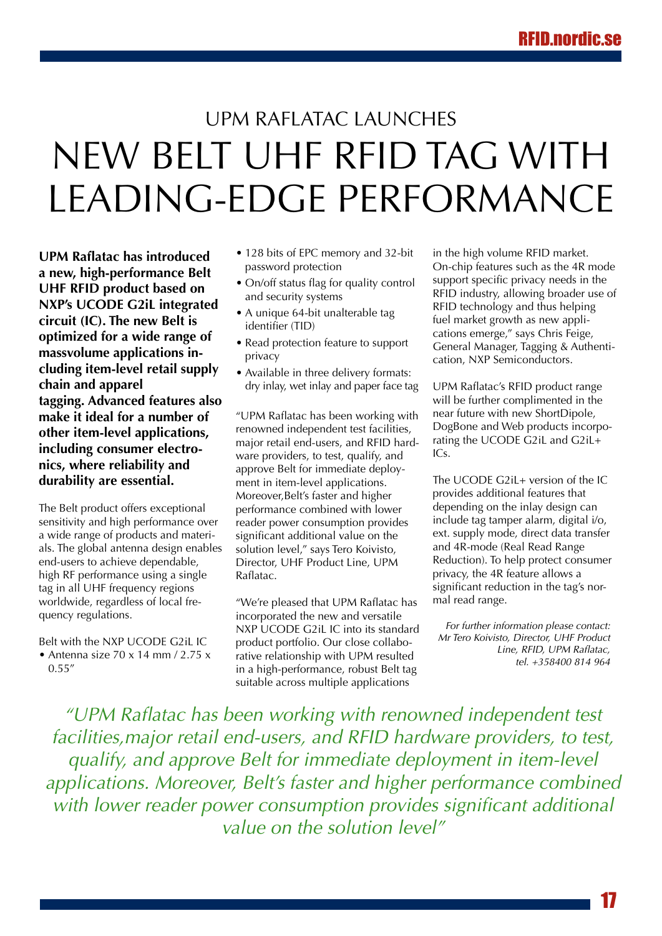# <span id="page-16-0"></span>UPM Raflatac launches new Belt UHF RFID tag with leading-edge performance

**UPM Raflatac has introduced a new, high-performance Belt UHF RFID product based on NXP's UCODE G2iL integrated circuit (IC). The new Belt is optimized for a wide range of massvolume applications including item-level retail supply chain and apparel tagging. Advanced features also make it ideal for a number of other item-level applications, including consumer electronics, where reliability and durability are essential.**

The Belt product offers exceptional sensitivity and high performance over a wide range of products and materials. The global antenna design enables end-users to achieve dependable, high RF performance using a single tag in all UHF frequency regions worldwide, regardless of local frequency regulations.

Belt with the NXP UCODE G2iL IC

• Antenna size  $70 \times 14$  mm  $/2.75 \times$ 0.55"

- 128 bits of EPC memory and 32-bit password protection
- On/off status flag for quality control and security systems
- A unique 64-bit unalterable tag identifier (TID)
- Read protection feature to support privacy
- Available in three delivery formats: dry inlay, wet inlay and paper face tag

"UPM Raflatac has been working with renowned independent test facilities, major retail end-users, and RFID hardware providers, to test, qualify, and approve Belt for immediate deployment in item-level applications. Moreover,Belt's faster and higher performance combined with lower reader power consumption provides significant additional value on the solution level," says Tero Koivisto, Director, UHF Product Line, UPM Raflatac.

"We're pleased that UPM Raflatac has incorporated the new and versatile NXP UCODE G2iL IC into its standard product portfolio. Our close collaborative relationship with UPM resulted in a high-performance, robust Belt tag suitable across multiple applications

in the high volume RFID market. On-chip features such as the 4R mode support specific privacy needs in the RFID industry, allowing broader use of RFID technology and thus helping fuel market growth as new applications emerge," says Chris Feige, General Manager, Tagging & Authentication, NXP Semiconductors.

UPM Raflatac's RFID product range will be further complimented in the near future with new ShortDipole, DogBone and Web products incorporating the UCODE G2iL and G2iL+ ICs.

The UCODE G2iL+ version of the IC provides additional features that depending on the inlay design can include tag tamper alarm, digital i/o, ext. supply mode, direct data transfer and 4R-mode (Real Read Range Reduction). To help protect consumer privacy, the 4R feature allows a significant reduction in the tag's normal read range.

*For further information please contact: Mr Tero Koivisto, Director, UHF Product Line, RFID, UPM Raflatac, tel. +358400 814 964*

*"UPM Raflatac has been working with renowned independent test facilities,major retail end-users, and RFID hardware providers, to test, qualify, and approve Belt for immediate deployment in item-level applications. Moreover, Belt's faster and higher performance combined with lower reader power consumption provides significant additional value on the solution level"*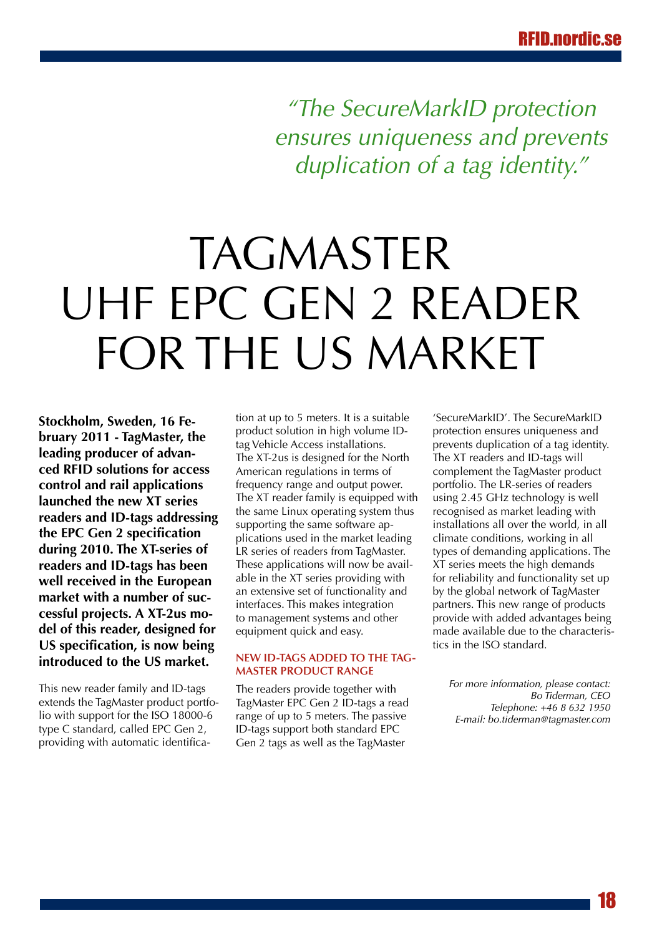*"The SecureMarkID protection ensures uniqueness and prevents duplication of a tag identity."*

# <span id="page-17-0"></span>**TAGMASTER** UHF EPC Gen 2 reader FOR THE US MARKET

**Stockholm, Sweden, 16 February 2011 - TagMaster, the leading producer of advanced RFID solutions for access control and rail applications launched the new XT series readers and ID-tags addressing the EPC Gen 2 specification during 2010. The XT-series of readers and ID-tags has been well received in the European market with a number of successful projects. A XT-2us model of this reader, designed for US specification, is now being introduced to the US market.**

This new reader family and ID-tags extends the TagMaster product portfolio with support for the ISO 18000-6 type C standard, called EPC Gen 2, providing with automatic identification at up to 5 meters. It is a suitable product solution in high volume IDtag Vehicle Access installations. The XT-2us is designed for the North American regulations in terms of frequency range and output power. The XT reader family is equipped with the same Linux operating system thus supporting the same software applications used in the market leading LR series of readers from TagMaster. These applications will now be available in the XT series providing with an extensive set of functionality and interfaces. This makes integration to management systems and other equipment quick and easy.

# **New ID-tags added to the Tag-Master product range**

The readers provide together with TagMaster EPC Gen 2 ID-tags a read range of up to 5 meters. The passive ID-tags support both standard EPC Gen 2 tags as well as the TagMaster

'SecureMarkID'. The SecureMarkID protection ensures uniqueness and prevents duplication of a tag identity. The XT readers and ID-tags will complement the TagMaster product portfolio. The LR-series of readers using 2.45 GHz technology is well recognised as market leading with installations all over the world, in all climate conditions, working in all types of demanding applications. The XT series meets the high demands for reliability and functionality set up by the global network of TagMaster partners. This new range of products provide with added advantages being made available due to the characteristics in the ISO standard.

*For more information, please contact: Bo Tiderman, CEO Telephone: +46 8 632 1950 E-mail: bo.tiderman@tagmaster.com*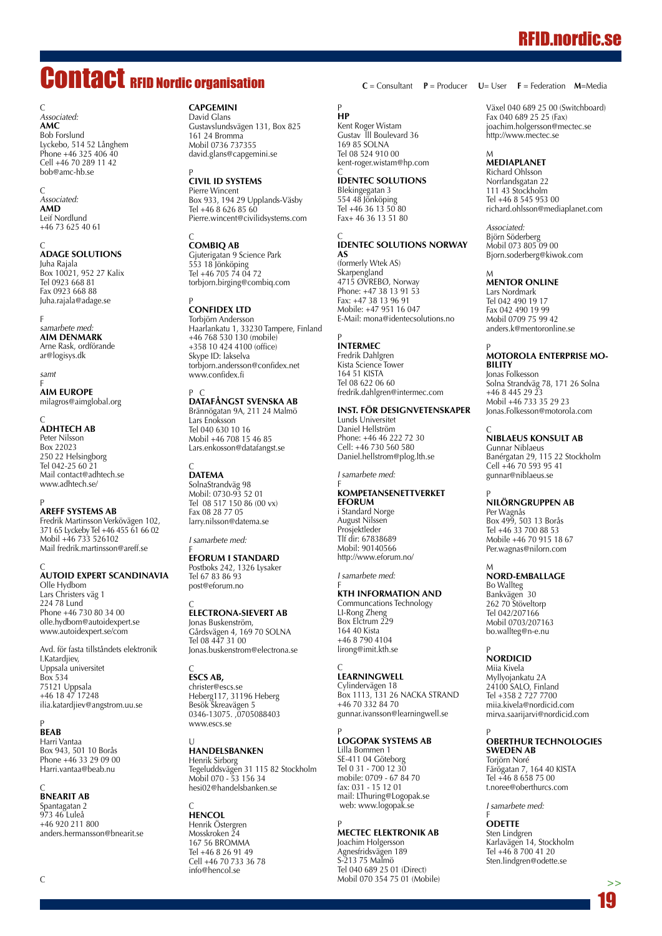# <span id="page-18-0"></span>Contact RFID Nordic organisation

 $\Gamma$ *Associated:* **AMC** Bob Forslund Lyckebo, 514 52 Långhem Phone +46 325 406 40 Cell +46 70 289 11 42 bob@amc-hb.se

C *Associated:* **AMD** Leif Nordlund +46 73 625 40 61

C<br>**ADAGE SC** Juha Rajala Box 10021, 952 27 Kalix Tel 0923 668 81 Fax 0923 668 88 Juha.rajala@adage.se

F *samarbete med:* **AIM Denmark** Arne Rask, ordförande ar@logisys.dk

*samt*

F<br>**AIM EL** milagros@aimglobal.org

## C **AdhTech AB** Peter Nilsson

**Box 22023** 250 22 Helsingborg Tel 042-25 60 21 Mail contact@adhtech.se www.adhtech.se/

P **Areff Systems AB** Fredrik Martinsson Verkövägen 102, 371 65 Lyckeby Tel +46 455 61 66 02 Mobil +46 733 526102 Mail fredrik.martinsson@areff.se

# C<br>**Autoid Expert Sc**

Olle Hydbom Lars Christers väg 1 224 78 Lund Phone +46 730 80 34 00 olle.hydbom@autoidexpert.se www.autoidexpert.se/com

Avd. för fasta tillståndets elektronik I.Katardjiev, Uppsala universitet Box 534 75121 Uppsala +46 18 47 17248 ilia.katardjiev@angstrom.uu.se

# P **BEAB**

Harri Vantaa Box 943, 501 10 Borås Phone +46 33 29 09 00 Harri.vantaa@beab.nu

# C **BnearIT AB**

Spantagatan 2 973 46 Luleå +46 920 211 800 anders.hermansson@bnearit.se

## **CAPGEMINI**

David Glans Gustavslundsvägen 131, Box 825 161 24 Bromma Mobil 0736 737355 david.glans@capgemini.se

<sup>P</sup><br>CIVIL ID SYS

Pierre Wincent Box 933, 194 29 Upplands-Väsby Tel +46 8 626 85 60 Pierre.wincent@civilidsystems.com

# C **CombiQ AB**

Gjuterigatan 9 Science Park 553 18 Jönköping Tel +46 705 74 04 72 torbjorn.birging@combiq.com

# <sup>p</sup><br>**CONFIDEX LT**

Torbjörn Andersson Haarlankatu 1, 33230 Tampere, Finland +46 768 530 130 (mobile) +358 10 424 4100 (office) Skype ID: lakselva torbjorn.andersson@confidex.net www.confidex.fi

P C **DataFångst Svenska AB** Brännögatan 9A, 211 24 Malmö Lars Enoksson Tel 040 630 10 16 Mobil +46 708 15 46 85 Lars.enkosson@datafangst.se

C **DATEMA** SolnaStrandväg 98 Mobil: 0730-93 52 01 Tel 08 517 150 86 (00 vx) Fax 08 28 77 05 larry.nilsson@datema.se

*I samarbete med:*

# f<br>**EFORUM I ST**

Postboks 242, 1326 Lysaker Tel 67 83 86 93 post@eforum.no

# C **Electrona-Sievert AB**

Jonas Buskenström, Gårdsvägen 4, 169 70 SOLNA Tel 08 447 31 00 Jonas.buskenstrom@electrona.se

# C **ESCS AB,**

christer@escs.se Heberg117, 31196 Heberg Besök Skreavägen 5 0346-13075. ,0705088403 www.escs.se

# U<br>**Ha**

Henrik Sirborg Tegeluddsvägen 31 115 82 Stockholm Mobil 070 - 53 156 34 hesi02@handelsbanken.se

## C **HENCOL** Henrik Östergren Mosskroken 24 167 56 BROMMA Tel +46 8 26 91 49 Cell +46 70 733 36 78 info@hencol.se

**C** = Consultant **P** = Producer **U**= User **F** = Federation **M**=Media

P **HP**

**AS**

Kent Roger Wistam Gustav lll Boulevard 36 169 85 SOLNA Tel 08 524 910 00 kent-roger.wistam@hp.com C **IDENTEC SOLUTIONS** Blekingegatan 3 554 48 Jönköping Tel +46 36 13 50 80 Fax+ 46 36 13 51 80

C<br>**IDENTEC SOLUTIONS NO** 

fredrik.dahlgren@intermec.com **Inst. för Designvetenskaper**

(formerly Wtek AS) Skarpengland 4715 ØVREBØ, Norway Phone: +47 38 13 91 53 Fax: +47 38 13 96 91 Mobile: +47 951 16 047 E-Mail: mona@identecsolutions.no

P **INTERMEC** Fredrik Dahlgren Kista Science Tower 164 51 KISTA Tel 08 622 06 60

Lunds Universitet Daniel Hellström Phone: +46 46 222 72 30 Cell: +46 730 560 580 Daniel.hellstrom@plog.lth.se

*I samarbete med:*

F<br>**KTH INFORMATION A** Communcations Technology

LI-Rong Zheng Box Elctrum 229 164 40 Kista +46 8 790 4104 lirong@imit.kth.se

C<br>**LEARNINGWE** Cylindervägen 18

+46 70 332 84 70

Lilla Bommen 1 SE-411 04 Göteborg Tel 0 31 - 700 12 30 mobile: 0709 - 67 84 70 fax: 031 - 15 12 01 mail: LThuring@Logopak.se web: www.logopak.se

P

Box 1113, 131 26 NACKA STRAND

gunnar.ivansson@learningwell.se

P **Logopak Systems AB** 

**MECTEC Elektronik AB** Joachim Holgersson Agnesfridsvägen 189 S-213 75 Malmö Tel 040 689 25 01 (Direct) Mobil 070 354 75 01 (Mobile)

F<br>Ko **eforum** i Standard Norge August Nilssen Prosjektleder Tlf dir: 67838689 Mobil: 90140566 http://www.eforum.no/ *I samarbete med:*

Växel 040 689 25 00 (Switchboard) Fax 040 689 25 25 (Fax) joachim.holgersson@mectec.se http://www.mectec.se

# M **MEDIAPLANET**

Richard Ohlsson Norrlandsgatan 22 111 43 Stockholm Tel +46 8 545 953 00 richard.ohlsson@mediaplanet.com

*Associated:* Björn Söderberg Mobil 073 805 09 00 Bjorn.soderberg@kiwok.com

# M **MENTOR ONLINE**

Lars Nordmark Tel 042 490 19 17 Fax 042 490 19 99 Mobil 0709 75 99 42 anders.k@mentoronline.se

## P **MOTOROLA Enterprise Mobility**

Jonas Folkesson Solna Strandväg 78, 171 26 Solna +46 8 445 29 23 Mobil +46 733 35 29 23 Jonas.Folkesson@motorola.com

# C **NIBLAEUS KONSULT AB**

Gunnar Niblaeus Banérgatan 29, 115 22 Stockholm Cell +46 70 593 95 41 gunnar@niblaeus.se

# P **NILÖRNGRUPPEN AB**

Per Wagnås Box 499, 503 13 Borås Tel +46 33 700 88 53 Mobile +46 70 915 18 67 Per.wagnas@nilorn.com

# M<br>**Nord-e**m

Bo Wallteg Bankvägen 30 262 70 Stöveltorp Tel 042/207166 Mobil 0703/207163 bo.wallteg@n-e.nu

# P **NORDICID**

Miia Kivela Myllyojankatu 2A 24100 SALO, Finland Tel +358 2 727 7700 miia.kivela@nordicid.com mirva.saarijarvi@nordicid.com

# P **OBERTHUR TECHNOLOGIES SWEDEN AB**

Torjörn Noré Färögatan 7, 164 40 KISTA Tel +46 8 658 75 00 t.noree@oberthurcs.com

*I samarbete med:*

F **ODETTE** Sten Lindgren Karlavägen 14, Stockholm Tel +46 8 700 41 20 Sten.lindgren@odette.se